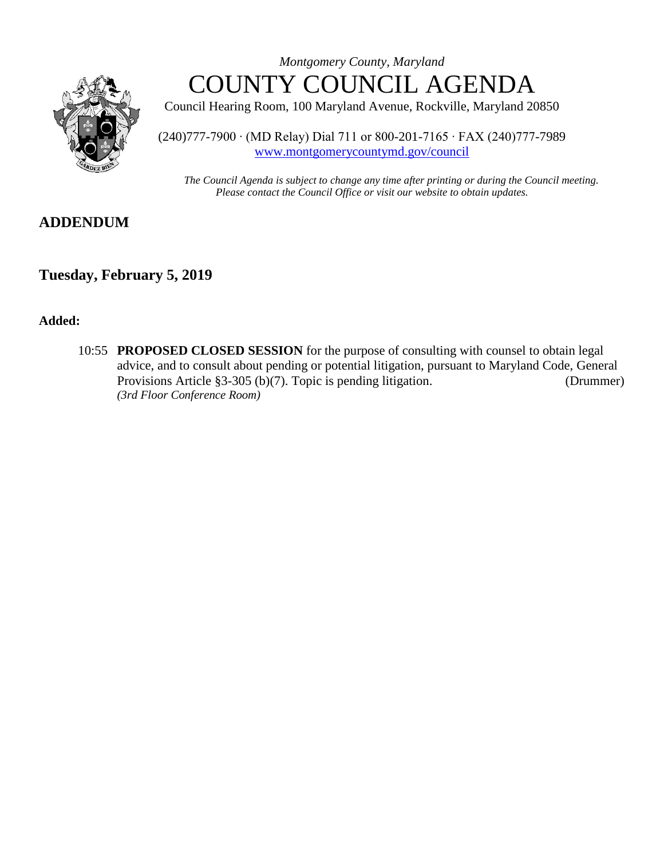

*Montgomery County, Maryland* COUNTY COUNCIL AGENDA

Council Hearing Room, 100 Maryland Avenue, Rockville, Maryland 20850

(240)777-7900 ∙ (MD Relay) Dial 711 or 800-201-7165 ∙ FAX (240)777-7989 [www.montgomerycountymd.gov/council](file:///C:/Documents%20and%20Settings/hernas01/Local%20Settings/Temporary%20Internet%20Files/Local%20Settings/Temporary%20Internet%20Files/OLK178/www.montgomerycountymd.gov/council)

*The Council Agenda is subject to change any time after printing or during the Council meeting. Please contact the Council Office or visit our website to obtain updates.*

# **ADDENDUM**

## **Tuesday, February 5, 2019**

### **Added:**

10:55 **PROPOSED CLOSED SESSION** for the purpose of consulting with counsel to obtain legal advice, and to consult about pending or potential litigation, pursuant to Maryland Code, General Provisions Article §3-305 (b)(7). Topic is pending litigation. (Drummer) *(3rd Floor Conference Room)*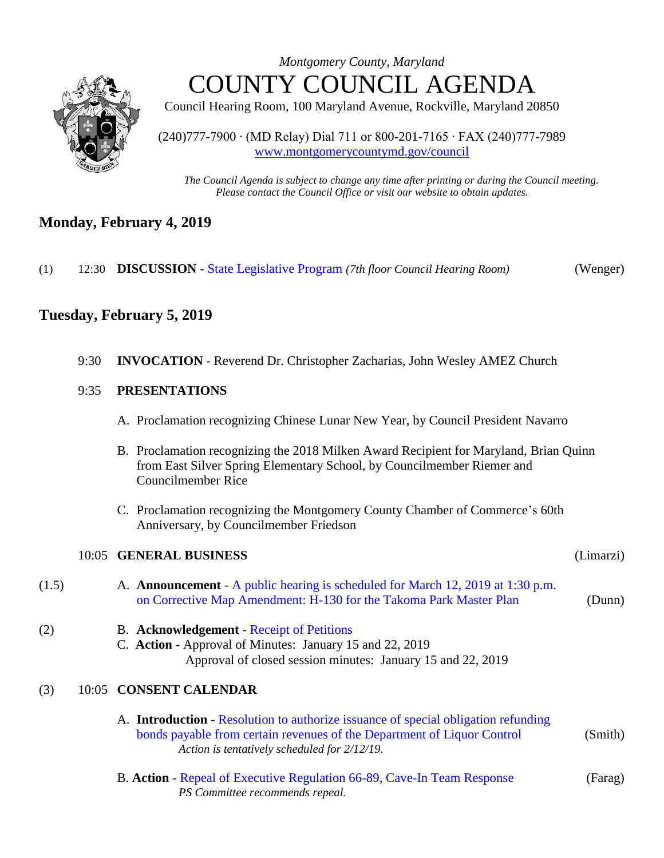

*Montgomery County, Maryland* COUNTY COUNCIL AGENDA

Council Hearing Room, 100 Maryland Avenue, Rockville, Maryland 20850

(240)777-7900 ∙ (MD Relay) Dial 711 or 800-201-7165 ∙ FAX (240)777-7989 [www.montgomerycountymd.gov/council](file:///C:/Documents%20and%20Settings/hernas01/Local%20Settings/Temporary%20Internet%20Files/Local%20Settings/Temporary%20Internet%20Files/OLK178/www.montgomerycountymd.gov/council)

*The Council Agenda is subject to change any time after printing or during the Council meeting. Please contact the Council Office or visit our website to obtain updates.*

# **Monday, February 4, 2019**

(1) 12:30 **DISCUSSION** - [State Legislative Program](https://www.montgomerycountymd.gov/council/Resources/Files/agenda/col/2019/20190205/20190204_1.pdf) *(7th floor Council Hearing Room)* (Wenger)

# **Tuesday, February 5, 2019**

| 9:30 INVOCATION - Reverend Dr. Christopher Zacharias, John Wesley AMEZ Church |  |  |  |  |
|-------------------------------------------------------------------------------|--|--|--|--|

### 9:35 **PRESENTATIONS**

- A. Proclamation recognizing Chinese Lunar New Year, by Council President Navarro
- B. Proclamation recognizing the 2018 Milken Award Recipient for Maryland, Brian Quinn from East Silver Spring Elementary School, by Councilmember Riemer and Councilmember Rice
- C. Proclamation recognizing the Montgomery County Chamber of Commerce's 60th Anniversary, by Councilmember Friedson

# 10:05 **GENERAL BUSINESS** (Limarzi) (1.5) A. **Announcement** - [A public hearing is scheduled for March 12, 2019 at 1:30 p.m.](https://www.montgomerycountymd.gov/council/Resources/Files/agenda/col/2019/20190205/20190205_1-5.pdf)  [on Corrective Map Amendment: H-130 for the Takoma](https://www.montgomerycountymd.gov/council/Resources/Files/agenda/col/2019/20190205/20190205_1-5.pdf) Park Master Plan (Dunn) (2) B. **Acknowledgement** - [Receipt of Petitions](https://www.montgomerycountymd.gov/council/Resources/Files/agenda/col/2019/20190205/20190205_Index.pdf) C. **Action** - Approval of Minutes: January 15 and 22, 2019 Approval of closed session minutes: January 15 and 22, 2019 (3) 10:05 **CONSENT CALENDAR** A. **Introduction** - [Resolution to authorize issuance of special obligation refunding](https://www.montgomerycountymd.gov/council/Resources/Files/agenda/col/2019/20190205/20190205_3A.pdf)  [bonds payable from certain revenues of the Department of Liquor Control](https://www.montgomerycountymd.gov/council/Resources/Files/agenda/col/2019/20190205/20190205_3A.pdf) (Smith) *Action is tentatively scheduled for 2/12/19.*

B. **Action** - [Repeal of Executive Regulation 66-89, Cave-In Team Response](https://www.montgomerycountymd.gov/council/Resources/Files/agenda/col/2019/20190205/20190205_3B.pdf) (Farag) *PS Committee recommends repeal.*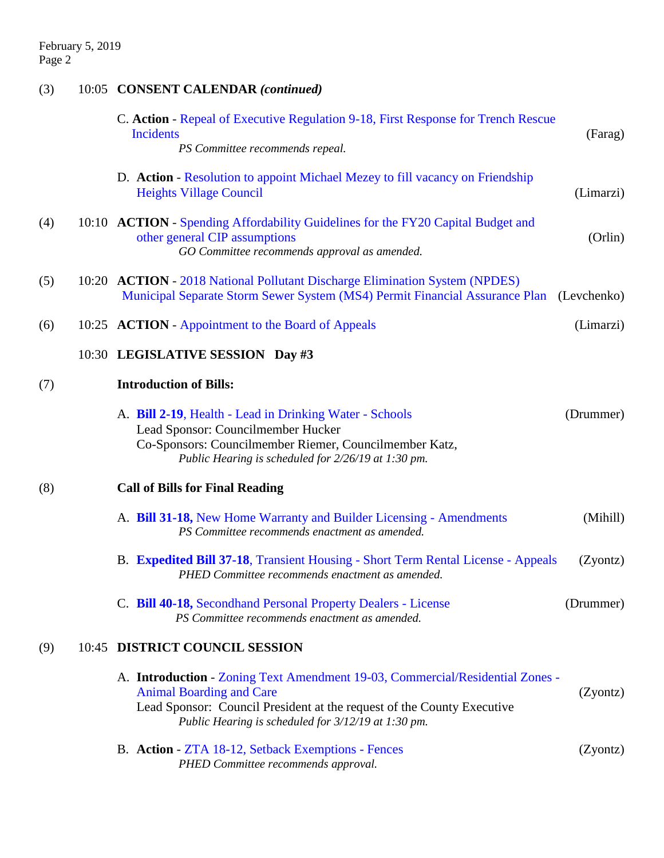| (3) | 10:05 CONSENT CALENDAR (continued)                                                                                                                                                                                                                            |
|-----|---------------------------------------------------------------------------------------------------------------------------------------------------------------------------------------------------------------------------------------------------------------|
|     | C. Action - Repeal of Executive Regulation 9-18, First Response for Trench Rescue<br><b>Incidents</b><br>(Farag)                                                                                                                                              |
|     | PS Committee recommends repeal.                                                                                                                                                                                                                               |
|     | D. Action - Resolution to appoint Michael Mezey to fill vacancy on Friendship<br><b>Heights Village Council</b><br>(Limarzi)                                                                                                                                  |
| (4) | 10:10 ACTION - Spending Affordability Guidelines for the FY20 Capital Budget and<br>other general CIP assumptions<br>(Orlin)<br>GO Committee recommends approval as amended.                                                                                  |
| (5) | 10:20 ACTION - 2018 National Pollutant Discharge Elimination System (NPDES)<br>Municipal Separate Storm Sewer System (MS4) Permit Financial Assurance Plan (Levchenko)                                                                                        |
| (6) | 10:25 ACTION - Appointment to the Board of Appeals<br>(Limarzi)                                                                                                                                                                                               |
|     | 10:30 LEGISLATIVE SESSION Day #3                                                                                                                                                                                                                              |
| (7) | <b>Introduction of Bills:</b>                                                                                                                                                                                                                                 |
|     | A. Bill 2-19, Health - Lead in Drinking Water - Schools<br>(Drummer)<br>Lead Sponsor: Councilmember Hucker<br>Co-Sponsors: Councilmember Riemer, Councilmember Katz,<br>Public Hearing is scheduled for 2/26/19 at 1:30 pm.                                   |
| (8) | <b>Call of Bills for Final Reading</b>                                                                                                                                                                                                                        |
|     | A. Bill 31-18, New Home Warranty and Builder Licensing - Amendments<br>(Mihill)<br>PS Committee recommends enactment as amended.                                                                                                                              |
|     | B. Expedited Bill 37-18, Transient Housing - Short Term Rental License - Appeals<br>(Zyontz)<br>PHED Committee recommends enactment as amended.                                                                                                               |
|     | C. Bill 40-18, Secondhand Personal Property Dealers - License<br>(Drummer)<br>PS Committee recommends enactment as amended.                                                                                                                                   |
| (9) | 10:45 DISTRICT COUNCIL SESSION                                                                                                                                                                                                                                |
|     | A. Introduction - Zoning Text Amendment 19-03, Commercial/Residential Zones -<br><b>Animal Boarding and Care</b><br>(Zyontz)<br>Lead Sponsor: Council President at the request of the County Executive<br>Public Hearing is scheduled for 3/12/19 at 1:30 pm. |
|     | B. Action - ZTA 18-12, Setback Exemptions - Fences<br>(Zyontz)<br>PHED Committee recommends approval.                                                                                                                                                         |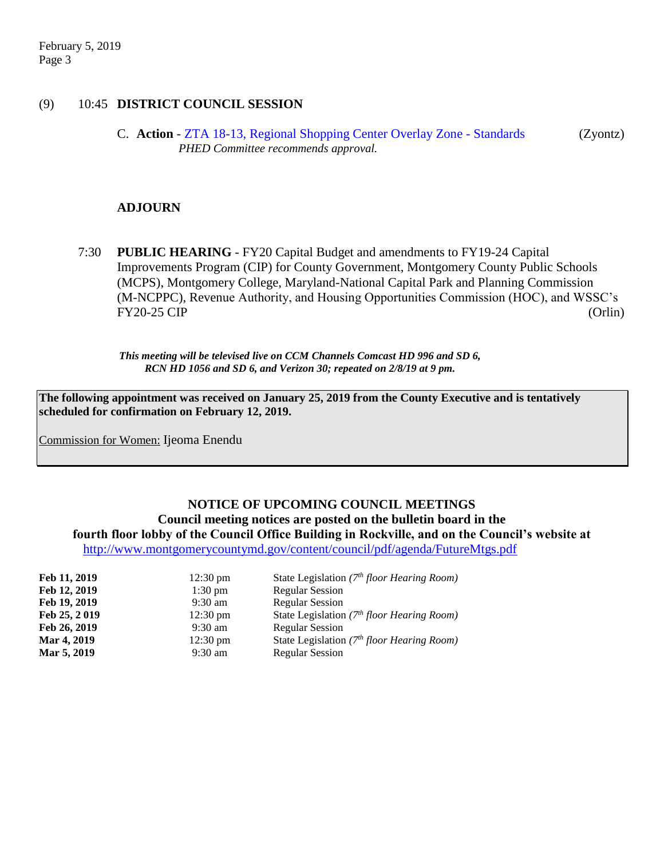### (9) 10:45 **DISTRICT COUNCIL SESSION**

C. **Action** - [ZTA 18-13, Regional Shopping Center Overlay Zone -](https://www.montgomerycountymd.gov/council/Resources/Files/agenda/col/2019/20190205/20190205_9C.pdf) Standards (Zyontz) *PHED Committee recommends approval.*

### **ADJOURN**

7:30 **PUBLIC HEARING** - FY20 Capital Budget and amendments to FY19-24 Capital Improvements Program (CIP) for County Government, Montgomery County Public Schools (MCPS), Montgomery College, Maryland-National Capital Park and Planning Commission (M-NCPPC), Revenue Authority, and Housing Opportunities Commission (HOC), and WSSC's FY20-25 CIP (Orlin)

*This meeting will be televised live on CCM Channels Comcast HD 996 and SD 6, RCN HD 1056 and SD 6, and Verizon 30; repeated on 2/8/19 at 9 pm.*

**The following appointment was received on January 25, 2019 from the County Executive and is tentatively scheduled for confirmation on February 12, 2019.**

Commission for Women: Ijeoma Enendu

### **NOTICE OF UPCOMING COUNCIL MEETINGS Council meeting notices are posted on the bulletin board in the fourth floor lobby of the Council Office Building in Rockville, and on the Council's website at**

<http://www.montgomerycountymd.gov/content/council/pdf/agenda/FutureMtgs.pdf>

| Feb 11, 2019 | $12:30 \text{ pm}$ | State Legislation $(7th floor Hearing Room)$  |
|--------------|--------------------|-----------------------------------------------|
| Feb 12, 2019 | $1:30$ pm          | <b>Regular Session</b>                        |
| Feb 19, 2019 | $9:30 \text{ am}$  | <b>Regular Session</b>                        |
| Feb 25, 2019 | $12:30 \text{ pm}$ | State Legislation ( $7th floor$ Hearing Room) |
| Feb 26, 2019 | $9:30 \text{ am}$  | <b>Regular Session</b>                        |
| Mar 4, 2019  | $12:30 \text{ pm}$ | State Legislation ( $7th floor$ Hearing Room) |
| Mar 5, 2019  | $9:30 \text{ am}$  | <b>Regular Session</b>                        |